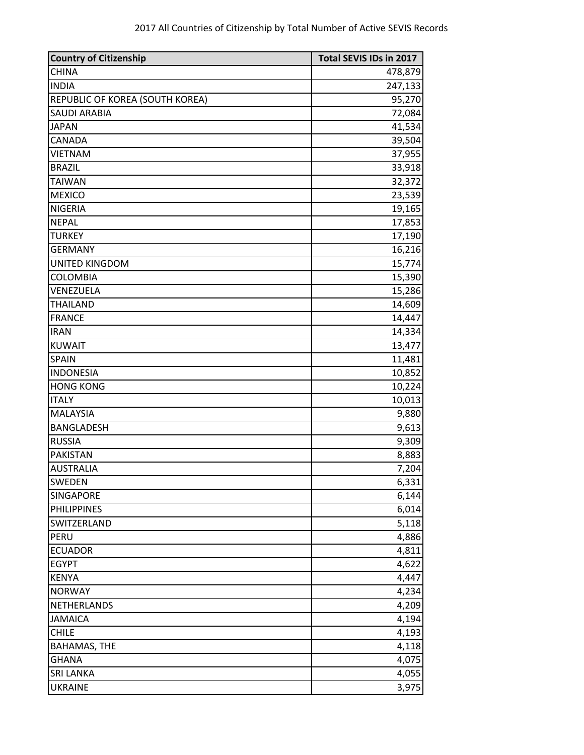| <b>Country of Citizenship</b>   | Total SEVIS IDs in 2017 |
|---------------------------------|-------------------------|
| <b>CHINA</b>                    | 478,879                 |
| <b>INDIA</b>                    | 247,133                 |
| REPUBLIC OF KOREA (SOUTH KOREA) | 95,270                  |
| <b>SAUDI ARABIA</b>             | 72,084                  |
| <b>JAPAN</b>                    | 41,534                  |
| CANADA                          | 39,504                  |
| <b>VIETNAM</b>                  | 37,955                  |
| <b>BRAZIL</b>                   | 33,918                  |
| <b>TAIWAN</b>                   | 32,372                  |
| <b>MEXICO</b>                   | 23,539                  |
| NIGERIA                         | 19,165                  |
| <b>NEPAL</b>                    | 17,853                  |
| <b>TURKEY</b>                   | 17,190                  |
| <b>GERMANY</b>                  | 16,216                  |
| <b>UNITED KINGDOM</b>           | 15,774                  |
| <b>COLOMBIA</b>                 | 15,390                  |
| VENEZUELA                       | 15,286                  |
| <b>THAILAND</b>                 | 14,609                  |
| <b>FRANCE</b>                   | 14,447                  |
| <b>IRAN</b>                     | 14,334                  |
| <b>KUWAIT</b>                   | 13,477                  |
| <b>SPAIN</b>                    | 11,481                  |
| <b>INDONESIA</b>                | 10,852                  |
| <b>HONG KONG</b>                | 10,224                  |
| <b>ITALY</b>                    | 10,013                  |
| MALAYSIA                        | 9,880                   |
| <b>BANGLADESH</b>               | 9,613                   |
| <b>RUSSIA</b>                   | 9,309                   |
| <b>PAKISTAN</b>                 | 8,883                   |
| <b>AUSTRALIA</b>                | 7,204                   |
| SWEDEN                          | 6,331                   |
| <b>SINGAPORE</b>                | 6,144                   |
| <b>PHILIPPINES</b>              | 6,014                   |
| SWITZERLAND                     | 5,118                   |
| PERU                            | 4,886                   |
| <b>ECUADOR</b>                  | 4,811                   |
| <b>EGYPT</b>                    | 4,622                   |
| <b>KENYA</b>                    | 4,447                   |
| <b>NORWAY</b>                   | 4,234                   |
| NETHERLANDS                     | 4,209                   |
| <b>JAMAICA</b>                  | 4,194                   |
| <b>CHILE</b>                    | 4,193                   |
| <b>BAHAMAS, THE</b>             | 4,118                   |
| <b>GHANA</b>                    | 4,075                   |
| <b>SRI LANKA</b>                | 4,055                   |
| <b>UKRAINE</b>                  | 3,975                   |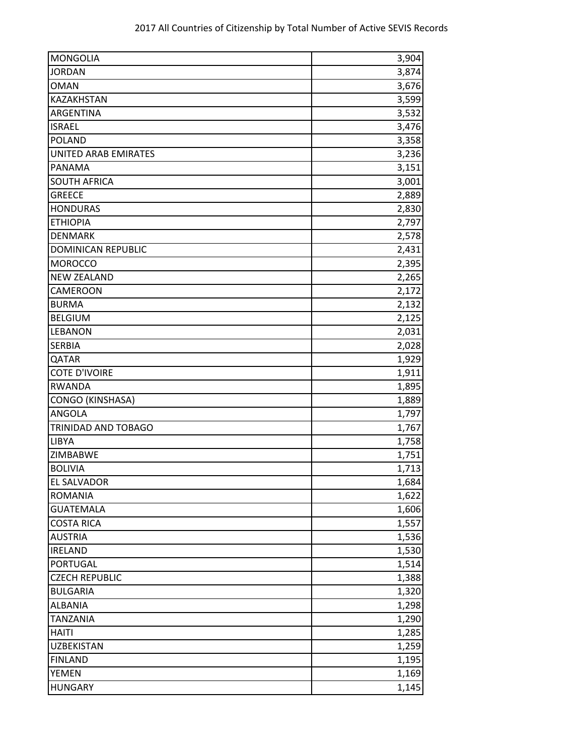| <b>MONGOLIA</b>           | 3,904 |
|---------------------------|-------|
| <b>JORDAN</b>             | 3,874 |
| <b>OMAN</b>               | 3,676 |
| KAZAKHSTAN                | 3,599 |
| ARGENTINA                 | 3,532 |
| <b>ISRAEL</b>             | 3,476 |
| <b>POLAND</b>             | 3,358 |
| UNITED ARAB EMIRATES      | 3,236 |
| PANAMA                    | 3,151 |
| <b>SOUTH AFRICA</b>       | 3,001 |
| <b>GREECE</b>             | 2,889 |
| <b>HONDURAS</b>           | 2,830 |
| <b>ETHIOPIA</b>           | 2,797 |
| <b>DENMARK</b>            | 2,578 |
| <b>DOMINICAN REPUBLIC</b> | 2,431 |
| <b>MOROCCO</b>            | 2,395 |
| <b>NEW ZEALAND</b>        | 2,265 |
| CAMEROON                  | 2,172 |
| <b>BURMA</b>              | 2,132 |
| <b>BELGIUM</b>            | 2,125 |
| LEBANON                   | 2,031 |
| <b>SERBIA</b>             | 2,028 |
| QATAR                     | 1,929 |
| <b>COTE D'IVOIRE</b>      | 1,911 |
| <b>RWANDA</b>             | 1,895 |
| <b>CONGO (KINSHASA)</b>   | 1,889 |
| <b>ANGOLA</b>             | 1,797 |
| TRINIDAD AND TOBAGO       | 1,767 |
| LIBYA                     | 1,758 |
| <b>ZIMBABWE</b>           | 1,751 |
| <b>BOLIVIA</b>            | 1,713 |
| EL SALVADOR               | 1,684 |
| <b>ROMANIA</b>            | 1,622 |
| <b>GUATEMALA</b>          | 1,606 |
| <b>COSTA RICA</b>         | 1,557 |
| <b>AUSTRIA</b>            | 1,536 |
| <b>IRELAND</b>            | 1,530 |
| <b>PORTUGAL</b>           | 1,514 |
| <b>CZECH REPUBLIC</b>     | 1,388 |
| <b>BULGARIA</b>           | 1,320 |
| <b>ALBANIA</b>            | 1,298 |
| <b>TANZANIA</b>           | 1,290 |
| <b>HAITI</b>              | 1,285 |
| <b>UZBEKISTAN</b>         | 1,259 |
| <b>FINLAND</b>            | 1,195 |
| <b>YEMEN</b>              | 1,169 |
| <b>HUNGARY</b>            | 1,145 |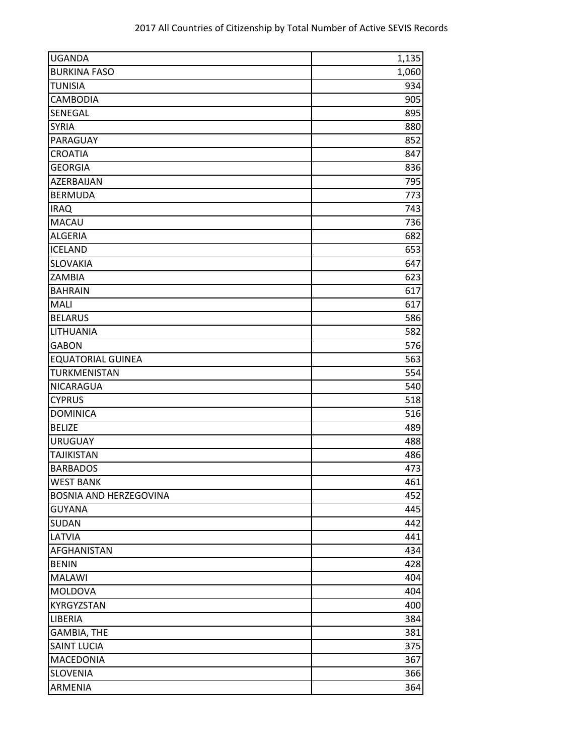| <b>UGANDA</b>            | 1,135 |
|--------------------------|-------|
| <b>BURKINA FASO</b>      | 1,060 |
| <b>TUNISIA</b>           | 934   |
| CAMBODIA                 | 905   |
| SENEGAL                  | 895   |
| <b>SYRIA</b>             | 880   |
| PARAGUAY                 | 852   |
| <b>CROATIA</b>           | 847   |
| <b>GEORGIA</b>           | 836   |
| AZERBAIJAN               | 795   |
| <b>BERMUDA</b>           | 773   |
| <b>IRAQ</b>              | 743   |
| <b>MACAU</b>             | 736   |
| <b>ALGERIA</b>           | 682   |
| <b>ICELAND</b>           | 653   |
| <b>SLOVAKIA</b>          | 647   |
| ZAMBIA                   | 623   |
| <b>BAHRAIN</b>           | 617   |
| MALI                     | 617   |
| <b>BELARUS</b>           | 586   |
| LITHUANIA                | 582   |
| <b>GABON</b>             | 576   |
| <b>EQUATORIAL GUINEA</b> | 563   |
| TURKMENISTAN             | 554   |
| NICARAGUA                | 540   |
| <b>CYPRUS</b>            | 518   |
| <b>DOMINICA</b>          | 516   |
| <b>BELIZE</b>            | 489   |
| <b>URUGUAY</b>           | 488   |
| <b>TAJIKISTAN</b>        | 486   |
| <b>BARBADOS</b>          | 473   |
| <b>WEST BANK</b>         | 461   |
| BOSNIA AND HERZEGOVINA   | 452   |
| <b>GUYANA</b>            | 445   |
| <b>SUDAN</b>             | 442   |
| LATVIA                   | 441   |
| AFGHANISTAN              | 434   |
| <b>BENIN</b>             | 428   |
| <b>MALAWI</b>            | 404   |
| <b>MOLDOVA</b>           | 404   |
| KYRGYZSTAN               | 400   |
| LIBERIA                  | 384   |
| <b>GAMBIA, THE</b>       | 381   |
| <b>SAINT LUCIA</b>       | 375   |
| <b>MACEDONIA</b>         | 367   |
| <b>SLOVENIA</b>          | 366   |
| ARMENIA                  | 364   |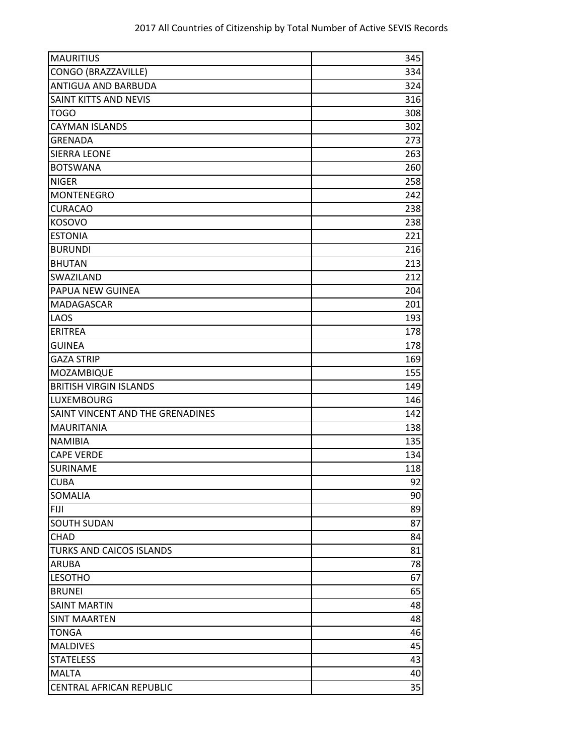| <b>MAURITIUS</b>                 | 345 |
|----------------------------------|-----|
| CONGO (BRAZZAVILLE)              | 334 |
| ANTIGUA AND BARBUDA              | 324 |
| SAINT KITTS AND NEVIS            | 316 |
| <b>TOGO</b>                      | 308 |
| <b>CAYMAN ISLANDS</b>            | 302 |
| <b>GRENADA</b>                   | 273 |
| <b>SIERRA LEONE</b>              | 263 |
| <b>BOTSWANA</b>                  | 260 |
| <b>NIGER</b>                     | 258 |
| <b>MONTENEGRO</b>                | 242 |
| <b>CURACAO</b>                   | 238 |
| <b>KOSOVO</b>                    | 238 |
| <b>ESTONIA</b>                   | 221 |
| <b>BURUNDI</b>                   | 216 |
| <b>BHUTAN</b>                    | 213 |
| SWAZILAND                        | 212 |
| PAPUA NEW GUINEA                 | 204 |
| <b>MADAGASCAR</b>                | 201 |
| LAOS                             | 193 |
| <b>ERITREA</b>                   | 178 |
| <b>GUINEA</b>                    | 178 |
| <b>GAZA STRIP</b>                | 169 |
| MOZAMBIQUE                       | 155 |
| <b>BRITISH VIRGIN ISLANDS</b>    | 149 |
| LUXEMBOURG                       | 146 |
| SAINT VINCENT AND THE GRENADINES | 142 |
| <b>MAURITANIA</b>                | 138 |
| <b>NAMIBIA</b>                   | 135 |
| <b>CAPE VERDE</b>                | 134 |
| SURINAME                         | 118 |
| <b>CUBA</b>                      | 92  |
| SOMALIA                          | 90  |
| <b>FIJI</b>                      | 89  |
| <b>SOUTH SUDAN</b>               | 87  |
| CHAD                             | 84  |
| <b>TURKS AND CAICOS ISLANDS</b>  | 81  |
| <b>ARUBA</b>                     | 78  |
| <b>LESOTHO</b>                   | 67  |
| <b>BRUNEI</b>                    | 65  |
| <b>SAINT MARTIN</b>              | 48  |
| <b>SINT MAARTEN</b>              | 48  |
| <b>TONGA</b>                     | 46  |
| <b>MALDIVES</b>                  | 45  |
| <b>STATELESS</b>                 | 43  |
| <b>MALTA</b>                     | 40  |
| CENTRAL AFRICAN REPUBLIC         | 35  |